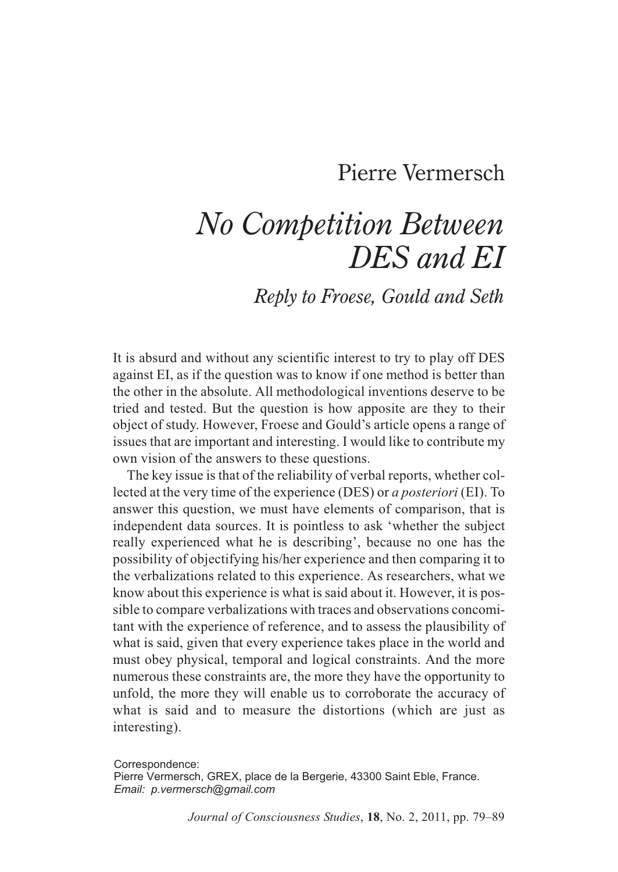# Pierre Vermersch

# *No Competition Between DES and EI*

# *Reply to Froese, Gould and Seth*

It is absurd and without any scientific interest to try to play off DES against EI, as if the question was to know if one method is better than the other in the absolute. All methodological inventions deserve to be tried and tested. But the question is how apposite are they to their object of study. However, Froese and Gould's article opens a range of issues that are important and interesting. I would like to contribute my own vision of the answers to these questions.

The key issue is that of the reliability of verbal reports, whether collected at the very time of the experience (DES) or *a posteriori* (EI). To answer this question, we must have elements of comparison, that is independent data sources. It is pointless to ask 'whether the subject really experienced what he is describing', because no one has the possibility of objectifying his/her experience and then comparing it to the verbalizations related to this experience. As researchers, what we know about this experience is what is said about it. However, it is possible to compare verbalizations with traces and observations concomitant with the experience of reference, and to assess the plausibility of what is said, given that every experience takes place in the world and must obey physical, temporal and logical constraints. And the more numerous these constraints are, the more they have the opportunity to unfold, the more they will enable us to corroborate the accuracy of what is said and to measure the distortions (which are just as interesting).

Correspondence: Pierre Vermersch, GREX, place de la Bergerie, 43300 Saint Eble, France. *Email: p.vermersch@gmail.com*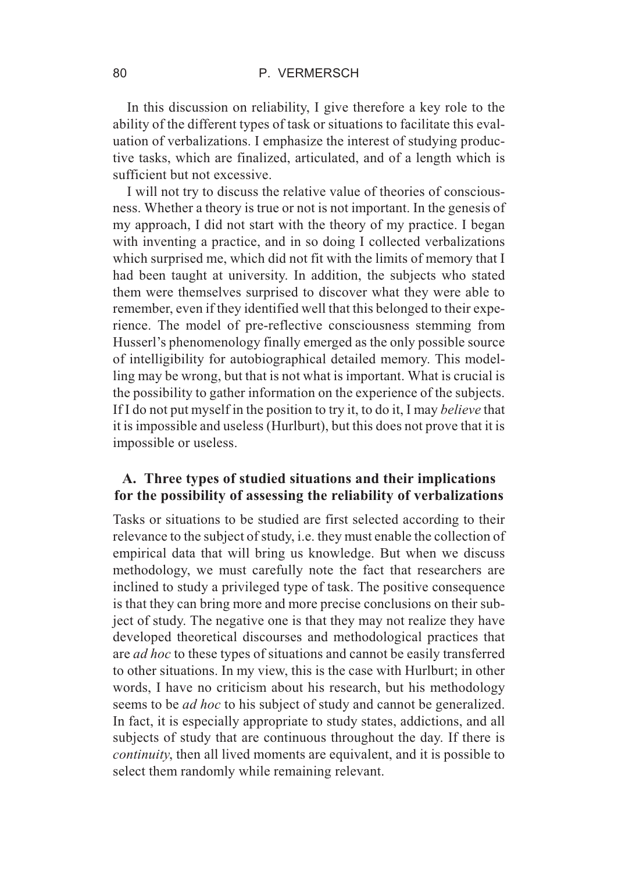In this discussion on reliability, I give therefore a key role to the ability of the different types of task or situations to facilitate this evaluation of verbalizations. I emphasize the interest of studying productive tasks, which are finalized, articulated, and of a length which is sufficient but not excessive.

I will not try to discuss the relative value of theories of consciousness. Whether a theory is true or not is not important. In the genesis of my approach, I did not start with the theory of my practice. I began with inventing a practice, and in so doing I collected verbalizations which surprised me, which did not fit with the limits of memory that I had been taught at university. In addition, the subjects who stated them were themselves surprised to discover what they were able to remember, even if they identified well that this belonged to their experience. The model of pre-reflective consciousness stemming from Husserl's phenomenology finally emerged as the only possible source of intelligibility for autobiographical detailed memory. This modelling may be wrong, but that is not what is important. What is crucial is the possibility to gather information on the experience of the subjects. If I do not put myself in the position to try it, to do it, I may *believe* that it is impossible and useless (Hurlburt), but this does not prove that it is impossible or useless.

# **A. Three types of studied situations and their implications for the possibility of assessing the reliability of verbalizations**

Tasks or situations to be studied are first selected according to their relevance to the subject of study, i.e. they must enable the collection of empirical data that will bring us knowledge. But when we discuss methodology, we must carefully note the fact that researchers are inclined to study a privileged type of task. The positive consequence is that they can bring more and more precise conclusions on their subject of study. The negative one is that they may not realize they have developed theoretical discourses and methodological practices that are *ad hoc* to these types of situations and cannot be easily transferred to other situations. In my view, this is the case with Hurlburt; in other words, I have no criticism about his research, but his methodology seems to be *ad hoc* to his subject of study and cannot be generalized. In fact, it is especially appropriate to study states, addictions, and all subjects of study that are continuous throughout the day. If there is *continuity*, then all lived moments are equivalent, and it is possible to select them randomly while remaining relevant.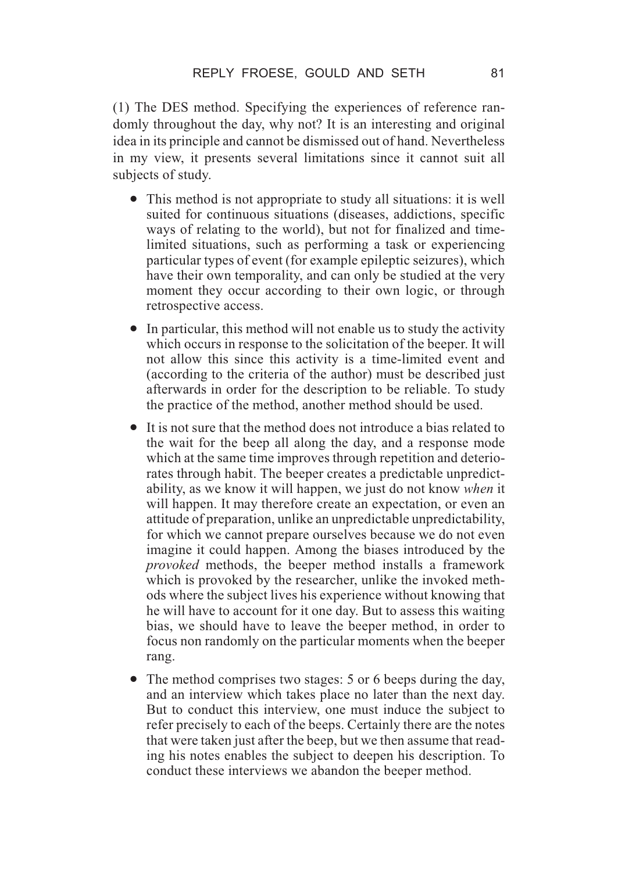(1) The DES method. Specifying the experiences of reference randomly throughout the day, why not? It is an interesting and original idea in its principle and cannot be dismissed out of hand. Nevertheless in my view, it presents several limitations since it cannot suit all subjects of study.

- This method is not appropriate to study all situations: it is well suited for continuous situations (diseases, addictions, specific ways of relating to the world), but not for finalized and timelimited situations, such as performing a task or experiencing particular types of event (for example epileptic seizures), which have their own temporality, and can only be studied at the very moment they occur according to their own logic, or through retrospective access.
- In particular, this method will not enable us to study the activity which occurs in response to the solicitation of the beeper. It will not allow this since this activity is a time-limited event and (according to the criteria of the author) must be described just afterwards in order for the description to be reliable. To study the practice of the method, another method should be used.
- It is not sure that the method does not introduce a bias related to the wait for the beep all along the day, and a response mode which at the same time improves through repetition and deteriorates through habit. The beeper creates a predictable unpredictability, as we know it will happen, we just do not know *when* it will happen. It may therefore create an expectation, or even an attitude of preparation, unlike an unpredictable unpredictability, for which we cannot prepare ourselves because we do not even imagine it could happen. Among the biases introduced by the *provoked* methods, the beeper method installs a framework which is provoked by the researcher, unlike the invoked methods where the subject lives his experience without knowing that he will have to account for it one day. But to assess this waiting bias, we should have to leave the beeper method, in order to focus non randomly on the particular moments when the beeper rang.
- The method comprises two stages: 5 or 6 beeps during the day, and an interview which takes place no later than the next day. But to conduct this interview, one must induce the subject to refer precisely to each of the beeps. Certainly there are the notes that were taken just after the beep, but we then assume that reading his notes enables the subject to deepen his description. To conduct these interviews we abandon the beeper method.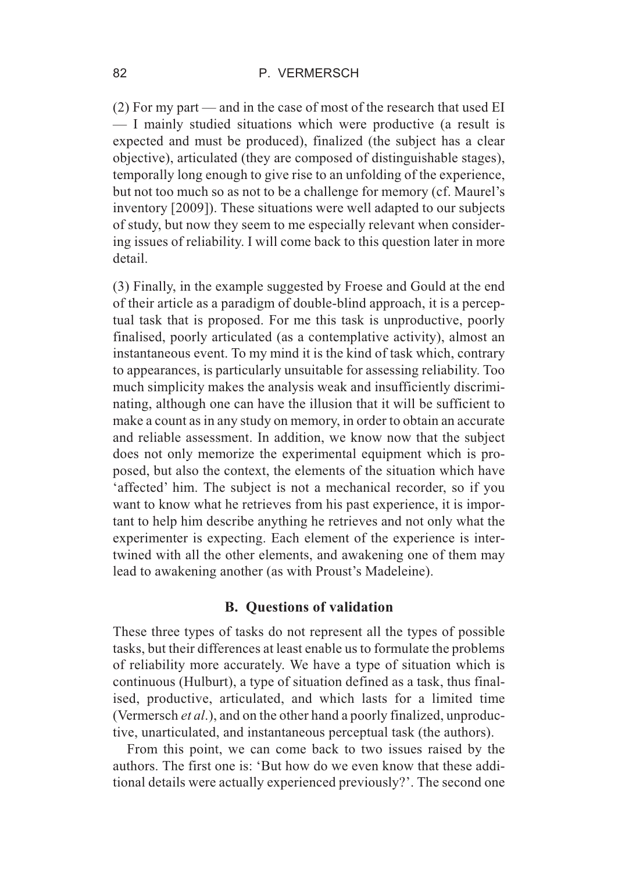(2) For my part — and in the case of most of the research that used EI — I mainly studied situations which were productive (a result is expected and must be produced), finalized (the subject has a clear objective), articulated (they are composed of distinguishable stages), temporally long enough to give rise to an unfolding of the experience, but not too much so as not to be a challenge for memory (cf. Maurel's inventory [2009]). These situations were well adapted to our subjects of study, but now they seem to me especially relevant when considering issues of reliability. I will come back to this question later in more detail.

(3) Finally, in the example suggested by Froese and Gould at the end of their article as a paradigm of double-blind approach, it is a perceptual task that is proposed. For me this task is unproductive, poorly finalised, poorly articulated (as a contemplative activity), almost an instantaneous event. To my mind it is the kind of task which, contrary to appearances, is particularly unsuitable for assessing reliability. Too much simplicity makes the analysis weak and insufficiently discriminating, although one can have the illusion that it will be sufficient to make a count as in any study on memory, in order to obtain an accurate and reliable assessment. In addition, we know now that the subject does not only memorize the experimental equipment which is proposed, but also the context, the elements of the situation which have 'affected' him. The subject is not a mechanical recorder, so if you want to know what he retrieves from his past experience, it is important to help him describe anything he retrieves and not only what the experimenter is expecting. Each element of the experience is intertwined with all the other elements, and awakening one of them may lead to awakening another (as with Proust's Madeleine).

### **B. Questions of validation**

These three types of tasks do not represent all the types of possible tasks, but their differences at least enable us to formulate the problems of reliability more accurately. We have a type of situation which is continuous (Hulburt), a type of situation defined as a task, thus finalised, productive, articulated, and which lasts for a limited time (Vermersch *et al*.), and on the other hand a poorly finalized, unproductive, unarticulated, and instantaneous perceptual task (the authors).

From this point, we can come back to two issues raised by the authors. The first one is: 'But how do we even know that these additional details were actually experienced previously?'. The second one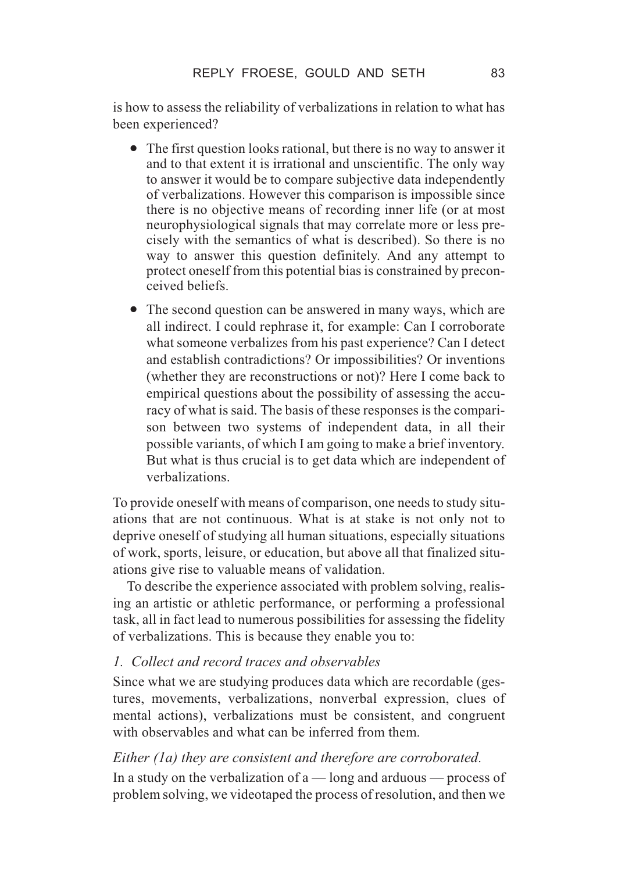is how to assess the reliability of verbalizations in relation to what has been experienced?

- The first question looks rational, but there is no way to answer it and to that extent it is irrational and unscientific. The only way to answer it would be to compare subjective data independently of verbalizations. However this comparison is impossible since there is no objective means of recording inner life (or at most neurophysiological signals that may correlate more or less precisely with the semantics of what is described). So there is no way to answer this question definitely. And any attempt to protect oneself from this potential bias is constrained by preconceived beliefs.
- The second question can be answered in many ways, which are all indirect. I could rephrase it, for example: Can I corroborate what someone verbalizes from his past experience? Can I detect and establish contradictions? Or impossibilities? Or inventions (whether they are reconstructions or not)? Here I come back to empirical questions about the possibility of assessing the accuracy of what is said. The basis of these responses is the comparison between two systems of independent data, in all their possible variants, of which I am going to make a brief inventory. But what is thus crucial is to get data which are independent of verbalizations.

To provide oneself with means of comparison, one needs to study situations that are not continuous. What is at stake is not only not to deprive oneself of studying all human situations, especially situations of work, sports, leisure, or education, but above all that finalized situations give rise to valuable means of validation.

To describe the experience associated with problem solving, realising an artistic or athletic performance, or performing a professional task, all in fact lead to numerous possibilities for assessing the fidelity of verbalizations. This is because they enable you to:

# *1. Collect and record traces and observables*

Since what we are studying produces data which are recordable (gestures, movements, verbalizations, nonverbal expression, clues of mental actions), verbalizations must be consistent, and congruent with observables and what can be inferred from them.

# *Either (1a) they are consistent and therefore are corroborated.*

In a study on the verbalization of  $a$  — long and arduous — process of problem solving, we videotaped the process of resolution, and then we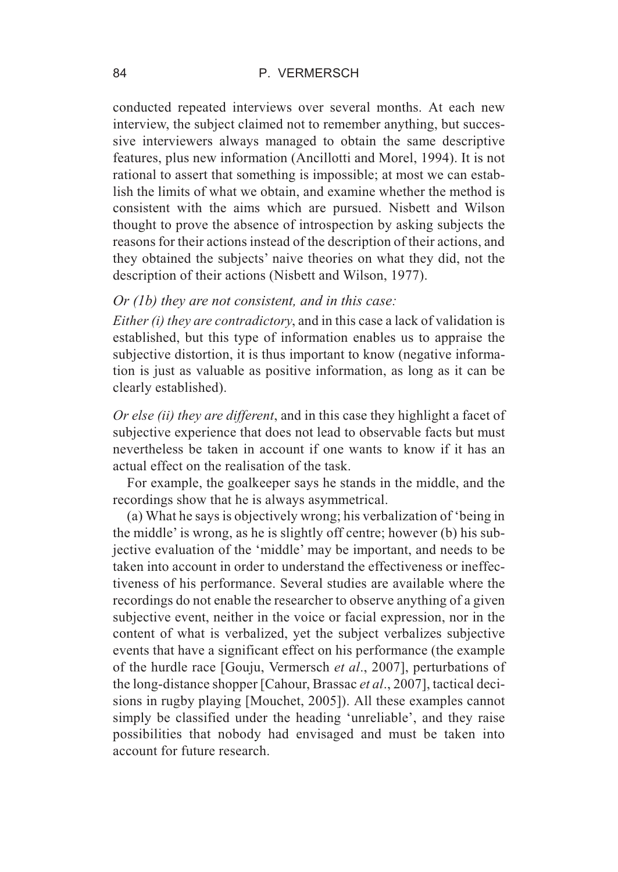#### 84 P. VERMERSCH

conducted repeated interviews over several months. At each new interview, the subject claimed not to remember anything, but successive interviewers always managed to obtain the same descriptive features, plus new information (Ancillotti and Morel, 1994). It is not rational to assert that something is impossible; at most we can establish the limits of what we obtain, and examine whether the method is consistent with the aims which are pursued. Nisbett and Wilson thought to prove the absence of introspection by asking subjects the reasons for their actions instead of the description of their actions, and they obtained the subjects' naive theories on what they did, not the description of their actions (Nisbett and Wilson, 1977).

## *Or (1b) they are not consistent, and in this case:*

*Either (i) they are contradictory*, and in this case a lack of validation is established, but this type of information enables us to appraise the subjective distortion, it is thus important to know (negative information is just as valuable as positive information, as long as it can be clearly established).

*Or else (ii) they are different*, and in this case they highlight a facet of subjective experience that does not lead to observable facts but must nevertheless be taken in account if one wants to know if it has an actual effect on the realisation of the task.

For example, the goalkeeper says he stands in the middle, and the recordings show that he is always asymmetrical.

(a) What he says is objectively wrong; his verbalization of 'being in the middle' is wrong, as he is slightly off centre; however (b) his subjective evaluation of the 'middle' may be important, and needs to be taken into account in order to understand the effectiveness or ineffectiveness of his performance. Several studies are available where the recordings do not enable the researcher to observe anything of a given subjective event, neither in the voice or facial expression, nor in the content of what is verbalized, yet the subject verbalizes subjective events that have a significant effect on his performance (the example of the hurdle race [Gouju, Vermersch *et al*., 2007], perturbations of the long-distance shopper [Cahour, Brassac *et al*., 2007], tactical decisions in rugby playing [Mouchet, 2005]). All these examples cannot simply be classified under the heading 'unreliable', and they raise possibilities that nobody had envisaged and must be taken into account for future research.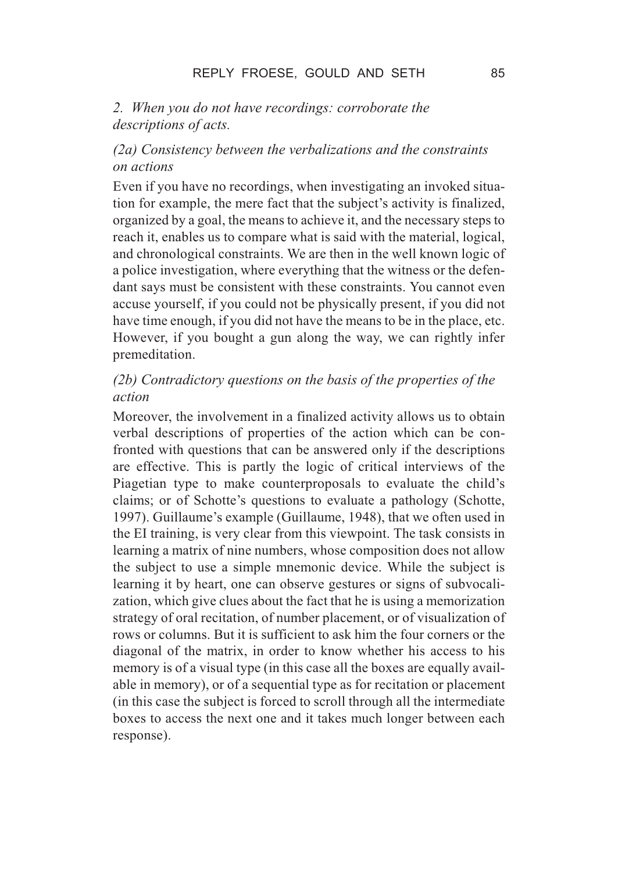# *2. When you do not have recordings: corroborate the descriptions of acts.*

# *(2a) Consistency between the verbalizations and the constraints on actions*

Even if you have no recordings, when investigating an invoked situation for example, the mere fact that the subject's activity is finalized, organized by a goal, the means to achieve it, and the necessary steps to reach it, enables us to compare what is said with the material, logical, and chronological constraints. We are then in the well known logic of a police investigation, where everything that the witness or the defendant says must be consistent with these constraints. You cannot even accuse yourself, if you could not be physically present, if you did not have time enough, if you did not have the means to be in the place, etc. However, if you bought a gun along the way, we can rightly infer premeditation.

# *(2b) Contradictory questions on the basis of the properties of the action*

Moreover, the involvement in a finalized activity allows us to obtain verbal descriptions of properties of the action which can be confronted with questions that can be answered only if the descriptions are effective. This is partly the logic of critical interviews of the Piagetian type to make counterproposals to evaluate the child's claims; or of Schotte's questions to evaluate a pathology (Schotte, 1997). Guillaume's example (Guillaume, 1948), that we often used in the EI training, is very clear from this viewpoint. The task consists in learning a matrix of nine numbers, whose composition does not allow the subject to use a simple mnemonic device. While the subject is learning it by heart, one can observe gestures or signs of subvocalization, which give clues about the fact that he is using a memorization strategy of oral recitation, of number placement, or of visualization of rows or columns. But it is sufficient to ask him the four corners or the diagonal of the matrix, in order to know whether his access to his memory is of a visual type (in this case all the boxes are equally available in memory), or of a sequential type as for recitation or placement (in this case the subject is forced to scroll through all the intermediate boxes to access the next one and it takes much longer between each response).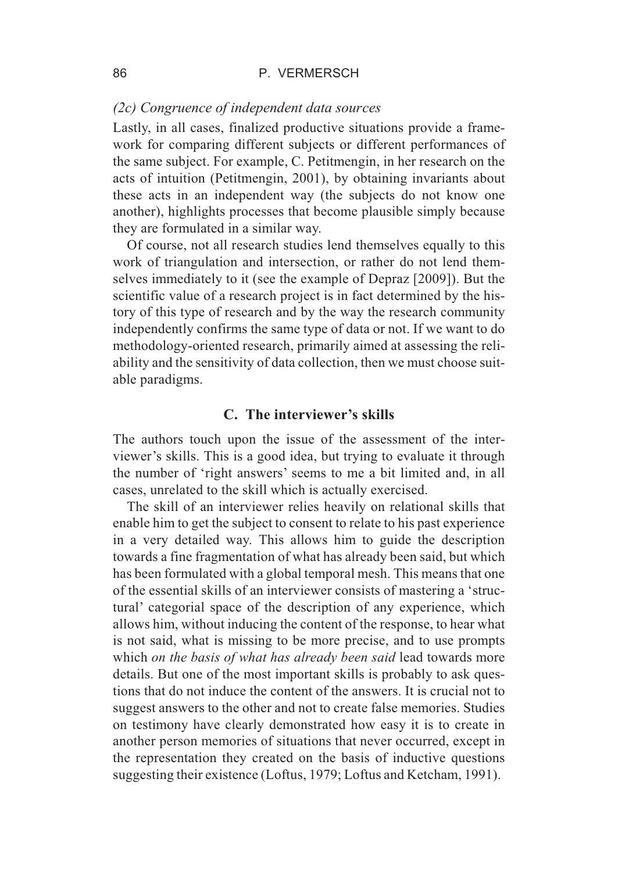## *(2c) Congruence of independent data sources*

Lastly, in all cases, finalized productive situations provide a framework for comparing different subjects or different performances of the same subject. For example, C. Petitmengin, in her research on the acts of intuition (Petitmengin, 2001), by obtaining invariants about these acts in an independent way (the subjects do not know one another), highlights processes that become plausible simply because they are formulated in a similar way.

Of course, not all research studies lend themselves equally to this work of triangulation and intersection, or rather do not lend themselves immediately to it (see the example of Depraz [2009]). But the scientific value of a research project is in fact determined by the history of this type of research and by the way the research community independently confirms the same type of data or not. If we want to do methodology-oriented research, primarily aimed at assessing the reliability and the sensitivity of data collection, then we must choose suitable paradigms.

#### **C. The interviewer's skills**

The authors touch upon the issue of the assessment of the interviewer's skills. This is a good idea, but trying to evaluate it through the number of 'right answers' seems to me a bit limited and, in all cases, unrelated to the skill which is actually exercised.

The skill of an interviewer relies heavily on relational skills that enable him to get the subject to consent to relate to his past experience in a very detailed way. This allows him to guide the description towards a fine fragmentation of what has already been said, but which has been formulated with a global temporal mesh. This means that one of the essential skills of an interviewer consists of mastering a 'structural' categorial space of the description of any experience, which allows him, without inducing the content of the response, to hear what is not said, what is missing to be more precise, and to use prompts which *on the basis of what has already been said* lead towards more details. But one of the most important skills is probably to ask questions that do not induce the content of the answers. It is crucial not to suggest answers to the other and not to create false memories. Studies on testimony have clearly demonstrated how easy it is to create in another person memories of situations that never occurred, except in the representation they created on the basis of inductive questions suggesting their existence (Loftus, 1979; Loftus and Ketcham, 1991).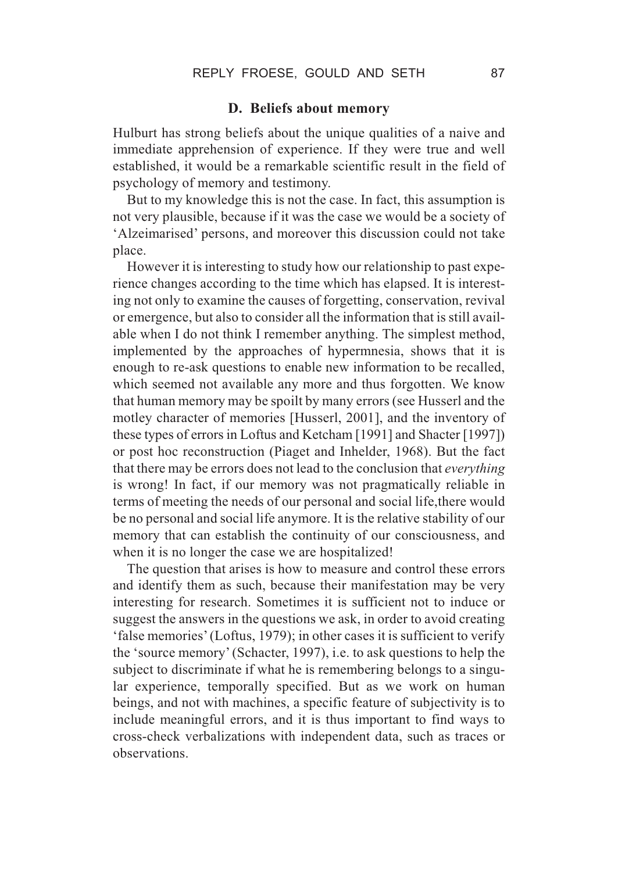## **D. Beliefs about memory**

Hulburt has strong beliefs about the unique qualities of a naive and immediate apprehension of experience. If they were true and well established, it would be a remarkable scientific result in the field of psychology of memory and testimony.

But to my knowledge this is not the case. In fact, this assumption is not very plausible, because if it was the case we would be a society of 'Alzeimarised' persons, and moreover this discussion could not take place.

However it is interesting to study how our relationship to past experience changes according to the time which has elapsed. It is interesting not only to examine the causes of forgetting, conservation, revival or emergence, but also to consider all the information that is still available when I do not think I remember anything. The simplest method, implemented by the approaches of hypermnesia, shows that it is enough to re-ask questions to enable new information to be recalled, which seemed not available any more and thus forgotten. We know that human memory may be spoilt by many errors (see Husserl and the motley character of memories [Husserl, 2001], and the inventory of these types of errors in Loftus and Ketcham [1991] and Shacter [1997]) or post hoc reconstruction (Piaget and Inhelder, 1968). But the fact that there may be errors does not lead to the conclusion that *everything* is wrong! In fact, if our memory was not pragmatically reliable in terms of meeting the needs of our personal and social life,there would be no personal and social life anymore. It is the relative stability of our memory that can establish the continuity of our consciousness, and when it is no longer the case we are hospitalized!

The question that arises is how to measure and control these errors and identify them as such, because their manifestation may be very interesting for research. Sometimes it is sufficient not to induce or suggest the answers in the questions we ask, in order to avoid creating 'false memories' (Loftus, 1979); in other cases it is sufficient to verify the 'source memory' (Schacter, 1997), i.e. to ask questions to help the subject to discriminate if what he is remembering belongs to a singular experience, temporally specified. But as we work on human beings, and not with machines, a specific feature of subjectivity is to include meaningful errors, and it is thus important to find ways to cross-check verbalizations with independent data, such as traces or observations.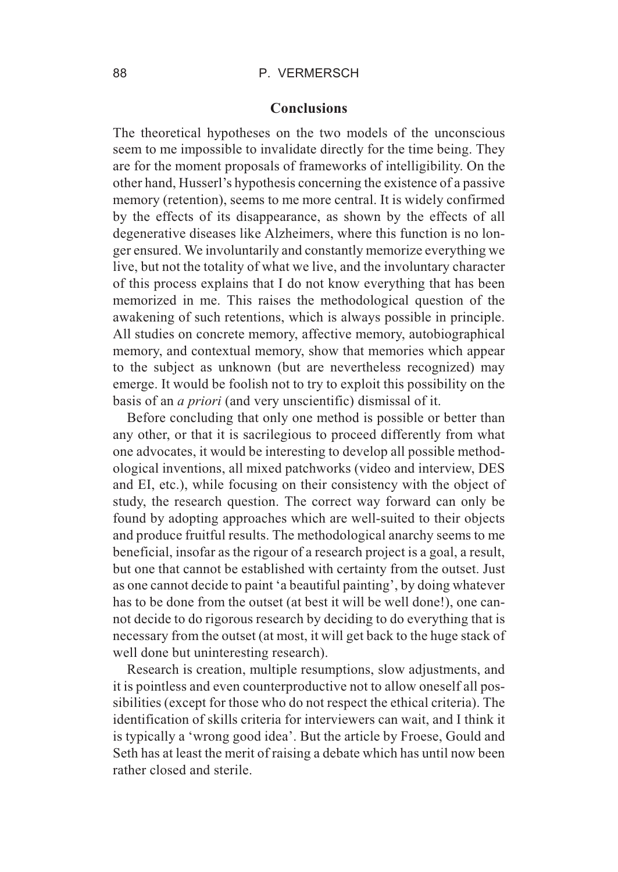#### 88 P. VERMERSCH

#### **Conclusions**

The theoretical hypotheses on the two models of the unconscious seem to me impossible to invalidate directly for the time being. They are for the moment proposals of frameworks of intelligibility. On the other hand, Husserl's hypothesis concerning the existence of a passive memory (retention), seems to me more central. It is widely confirmed by the effects of its disappearance, as shown by the effects of all degenerative diseases like Alzheimers, where this function is no longer ensured. We involuntarily and constantly memorize everything we live, but not the totality of what we live, and the involuntary character of this process explains that I do not know everything that has been memorized in me. This raises the methodological question of the awakening of such retentions, which is always possible in principle. All studies on concrete memory, affective memory, autobiographical memory, and contextual memory, show that memories which appear to the subject as unknown (but are nevertheless recognized) may emerge. It would be foolish not to try to exploit this possibility on the basis of an *a priori* (and very unscientific) dismissal of it.

Before concluding that only one method is possible or better than any other, or that it is sacrilegious to proceed differently from what one advocates, it would be interesting to develop all possible methodological inventions, all mixed patchworks (video and interview, DES and EI, etc.), while focusing on their consistency with the object of study, the research question. The correct way forward can only be found by adopting approaches which are well-suited to their objects and produce fruitful results. The methodological anarchy seems to me beneficial, insofar as the rigour of a research project is a goal, a result, but one that cannot be established with certainty from the outset. Just as one cannot decide to paint 'a beautiful painting', by doing whatever has to be done from the outset (at best it will be well done!), one cannot decide to do rigorous research by deciding to do everything that is necessary from the outset (at most, it will get back to the huge stack of well done but uninteresting research).

Research is creation, multiple resumptions, slow adjustments, and it is pointless and even counterproductive not to allow oneself all possibilities (except for those who do not respect the ethical criteria). The identification of skills criteria for interviewers can wait, and I think it is typically a 'wrong good idea'. But the article by Froese, Gould and Seth has at least the merit of raising a debate which has until now been rather closed and sterile.